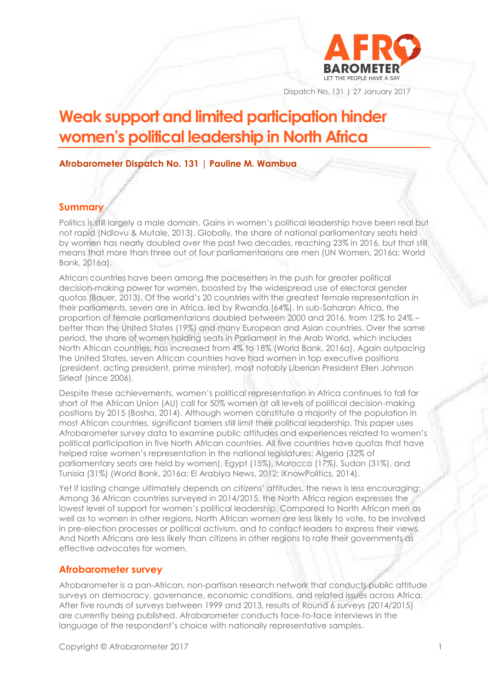

Dispatch No. 131 | 27 January 2017

# **Weak support and limited participation hinder women's political leadership in North Africa**

## **Afrobarometer Dispatch No. 131 | Pauline M. Wambua**

## **Summary**

Politics is still largely a male domain. Gains in women's political leadership have been real but not rapid (Ndlovu & Mutale, 2013). Globally, the share of national parliamentary seats held by women has nearly doubled over the past two decades, reaching 23% in 2016, but that still means that more than three out of four parliamentarians are men (UN Women, 2016a; World Bank, 2016a).

African countries have been among the pacesetters in the push for greater political decision-making power for women, boosted by the widespread use of electoral gender quotas (Bauer, 2013). Of the world's 20 countries with the greatest female representation in their parliaments, seven are in Africa, led by Rwanda (64%). In sub-Saharan Africa, the proportion of female parliamentarians doubled between 2000 and 2016, from 12% to 24% – better than the United States (19%) and many European and Asian countries. Over the same period, the share of women holding seats in Parliament in the Arab World, which includes North African countries, has increased from 4% to 18% (World Bank, 2016a). Again outpacing the United States, seven African countries have had women in top executive positions (president, acting president, prime minister), most notably Liberian President Ellen Johnson Sirleaf (since 2006).

Despite these achievements, women's political representation in Africa continues to fall far short of the African Union (AU) call for 50% women at all levels of political decision-making positions by 2015 (Bosha, 2014). Although women constitute a majority of the population in most African countries, significant barriers still limit their political leadership. This paper uses Afrobarometer survey data to examine public attitudes and experiences related to women's political participation in five North African countries. All five countries have quotas that have helped raise women's representation in the national legislatures: Algeria (32% of parliamentary seats are held by women), Egypt (15%), Morocco (17%), Sudan (31%), and Tunisia (31%) (World Bank, 2016a; El Arabiya News, 2012; iKnowPolitics, 2014).

Yet if lasting change ultimately depends on citizens' attitudes, the news is less encouraging: Among 36 African countries surveyed in 2014/2015, the North Africa region expresses the lowest level of support for women's political leadership. Compared to North African men as well as to women in other regions, North African women are less likely to vote, to be involved in pre-election processes or political activism, and to contact leaders to express their views. And North Africans are less likely than citizens in other regions to rate their governments as effective advocates for women.

## **Afrobarometer survey**

Afrobarometer is a pan-African, non-partisan research network that conducts public attitude surveys on democracy, governance, economic conditions, and related issues across Africa. After five rounds of surveys between 1999 and 2013, results of Round 6 surveys (2014/2015) are currently being published. Afrobarometer conducts face-to-face interviews in the language of the respondent's choice with nationally representative samples.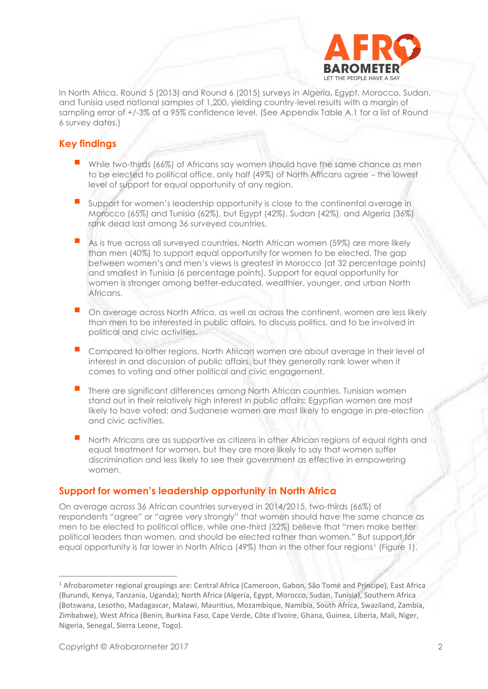

In North Africa, Round 5 (2013) and Round 6 (2015) surveys in Algeria, Egypt, Morocco, Sudan, and Tunisia used national samples of 1,200, yielding country-level results with a margin of sampling error of +/-3% at a 95% confidence level. (See Appendix Table A.1 for a list of Round 6 survey dates.)

## **Key findings**

- While two-thirds (66%) of Africans say women should have the same chance as men to be elected to political office, only half (49%) of North Africans agree – the lowest level of support for equal opportunity of any region.
- Support for women's leadership opportunity is close to the continental average in Morocco (65%) and Tunisia (62%), but Egypt (42%), Sudan (42%), and Algeria (36%) rank dead last among 36 surveyed countries.
- As is true across all surveyed countries, North African women (59%) are more likely than men (40%) to support equal opportunity for women to be elected. The gap between women's and men's views is greatest in Morocco (at 32 percentage points) and smallest in Tunisia (6 percentage points). Support for equal opportunity for women is stronger among better-educated, wealthier, younger, and urban North Africans.
- On average across North Africa, as well as across the continent, women are less likely than men to be interested in public affairs, to discuss politics, and to be involved in political and civic activities.
- Compared to other regions, North African women are about average in their level of interest in and discussion of public affairs, but they generally rank lower when it comes to voting and other political and civic engagement.
- There are significant differences among North African countries. Tunisian women stand out in their relatively high interest in public affairs; Egyptian women are most likely to have voted; and Sudanese women are most likely to engage in pre-election and civic activities.
- North Africans are as supportive as citizens in other African regions of equal rights and equal treatment for women, but they are more likely to say that women suffer discrimination and less likely to see their government as effective in empowering women.

## **Support for women's leadership opportunity in North Africa**

On average across 36 African countries surveyed in 2014/2015, two-thirds (66%) of respondents "agree" or "agree very strongly" that women should have the same chance as men to be elected to political office, while one-third (32%) believe that "men make better political leaders than women, and should be elected rather than women." But support for equal opportunity is far lower in North Africa (49%) than in the other four regions<sup>1</sup> (Figure 1).

<sup>1</sup> Afrobarometer regional groupings are: Central Africa (Cameroon, Gabon, São Tomé and Príncipe), East Africa (Burundi, Kenya, Tanzania, Uganda); North Africa (Algeria, Egypt, Morocco, Sudan, Tunisia), Southern Africa (Botswana, Lesotho, Madagascar, Malawi, Mauritius, Mozambique, Namibia, South Africa, Swaziland, Zambia, Zimbabwe), West Africa (Benin, Burkina Faso, Cape Verde, Côte d'Ivoire, Ghana, Guinea, Liberia, Mali, Niger, Nigeria, Senegal, Sierra Leone, Togo).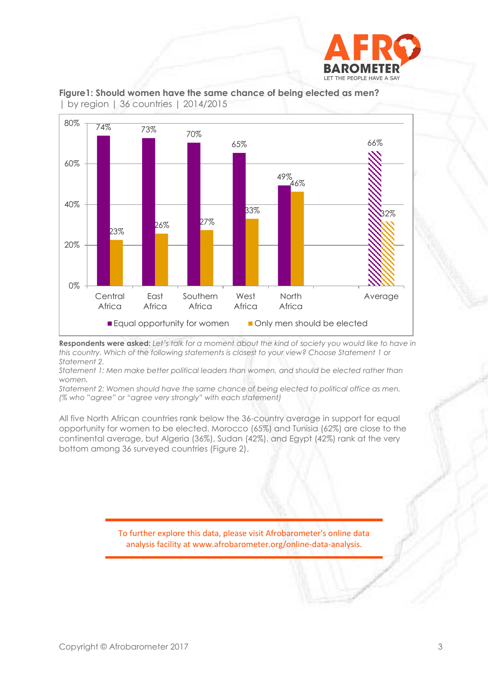



**Figure1: Should women have the same chance of being elected as men?**  | by region | 36 countries | 2014/2015

**Respondents were asked:** *Let's talk for a moment about the kind of society you would like to have in this country. Which of the following statements is closest to your view? Choose Statement 1 or Statement 2.* 

*Statement 1: Men make better political leaders than women, and should be elected rather than women.* 

*Statement 2: Women should have the same chance of being elected to political office as men. (% who "agree" or "agree very strongly" with each statement)*

All five North African countries rank below the 36-country average in support for equal opportunity for women to be elected. Morocco (65%) and Tunisia (62%) are close to the continental average, but Algeria (36%), Sudan (42%), and Egypt (42%) rank at the very bottom among 36 surveyed countries (Figure 2).

> To further explore this data, please visit Afrobarometer's online data analysis facility at www.afrobarometer.org/online-data-analysis.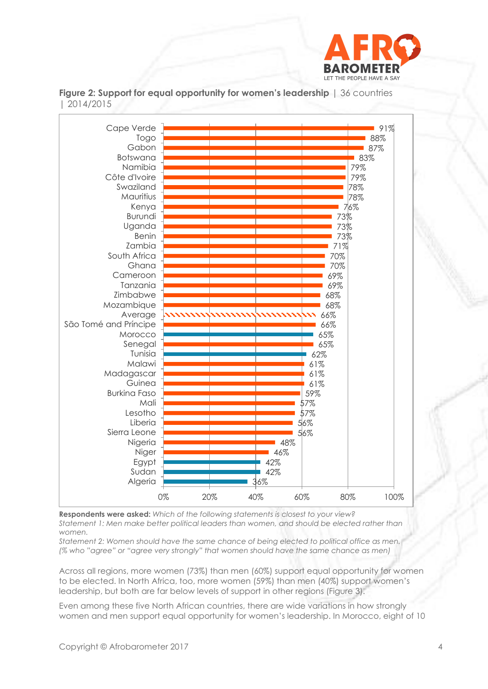



**Figure 2: Support for equal opportunity for women's leadership** | 36 countries | 2014/2015

**Respondents were asked:** *Which of the following statements is closest to your view? Statement 1: Men make better political leaders than women, and should be elected rather than women.* 

*Statement 2: Women should have the same chance of being elected to political office as men. (% who "agree" or "agree very strongly" that women should have the same chance as men)*

Across all regions, more women (73%) than men (60%) support equal opportunity for women to be elected. In North Africa, too, more women (59%) than men (40%) support women's leadership, but both are far below levels of support in other regions (Figure 3).

Even among these five North African countries, there are wide variations in how strongly women and men support equal opportunity for women's leadership. In Morocco, eight of 10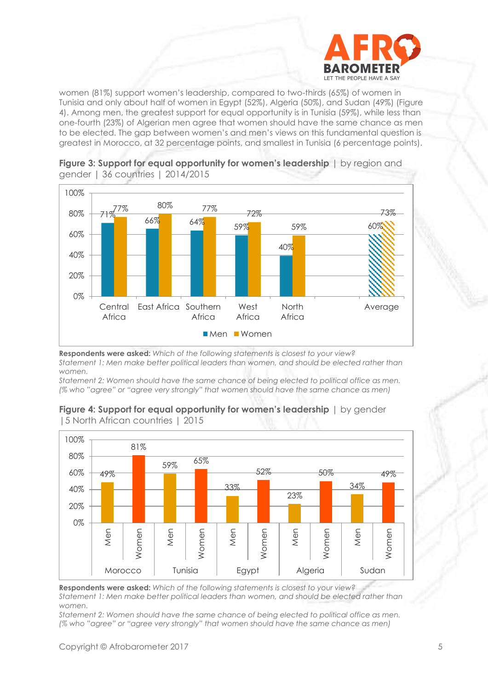

women (81%) support women's leadership, compared to two-thirds (65%) of women in Tunisia and only about half of women in Egypt (52%), Algeria (50%), and Sudan (49%) (Figure 4). Among men, the greatest support for equal opportunity is in Tunisia (59%), while less than one-fourth (23%) of Algerian men agree that women should have the same chance as men to be elected. The gap between women's and men's views on this fundamental question is greatest in Morocco, at 32 percentage points, and smallest in Tunisia (6 percentage points).



**Figure 3: Support for equal opportunity for women's leadership** | by region and gender | 36 countries | 2014/2015

**Respondents were asked:** *Which of the following statements is closest to your view? Statement 1: Men make better political leaders than women, and should be elected rather than women.* 

*Statement 2: Women should have the same chance of being elected to political office as men. (% who "agree" or "agree very strongly" that women should have the same chance as men)*



**Figure 4: Support for equal opportunity for women's leadership** | by gender |5 North African countries | 2015

**Respondents were asked:** *Which of the following statements is closest to your view? Statement 1: Men make better political leaders than women, and should be elected rather than women.* 

*Statement 2: Women should have the same chance of being elected to political office as men. (% who "agree" or "agree very strongly" that women should have the same chance as men)*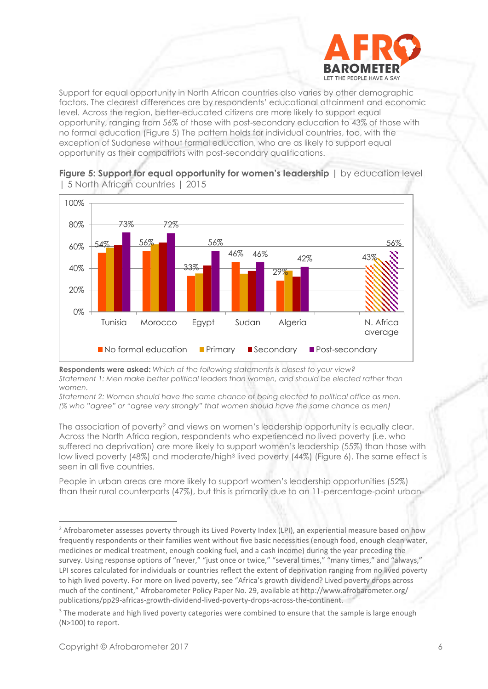

Support for equal opportunity in North African countries also varies by other demographic factors. The clearest differences are by respondents' educational attainment and economic level. Across the region, better-educated citizens are more likely to support equal opportunity, ranging from 56% of those with post-secondary education to 43% of those with no formal education (Figure 5) The pattern holds for individual countries, too, with the exception of Sudanese without formal education, who are as likely to support equal opportunity as their compatriots with post-secondary qualifications.



**Figure 5: Support for equal opportunity for women's leadership** | by education level | 5 North African countries | 2015

**Respondents were asked:** *Which of the following statements is closest to your view? Statement 1: Men make better political leaders than women, and should be elected rather than women.* 

*Statement 2: Women should have the same chance of being elected to political office as men. (% who "agree" or "agree very strongly" that women should have the same chance as men)*

The association of poverty<sup>2</sup> and views on women's leadership opportunity is equally clear. Across the North Africa region, respondents who experienced no lived poverty (i.e. who suffered no deprivation) are more likely to support women's leadership (55%) than those with low lived poverty (48%) and moderate/high<sup>3</sup> lived poverty (44%) (Figure 6). The same effect is seen in all five countries.

People in urban areas are more likely to support women's leadership opportunities (52%) than their rural counterparts (47%), but this is primarily due to an 11-percentage-point urban-

<sup>&</sup>lt;sup>2</sup> Afrobarometer assesses poverty through its Lived Poverty Index (LPI), an experiential measure based on how frequently respondents or their families went without five basic necessities (enough food, enough clean water, medicines or medical treatment, enough cooking fuel, and a cash income) during the year preceding the survey. Using response options of "never," "just once or twice," "several times," "many times," and "always,' LPI scores calculated for individuals or countries reflect the extent of deprivation ranging from no lived poverty to high lived poverty. For more on lived poverty, see "Africa's growth dividend? Lived poverty drops across much of the continent," Afrobarometer Policy Paper No. 29, available at http://www.afrobarometer.org/ publications/pp29-africas-growth-dividend-lived-poverty-drops-across-the-continent.

<sup>&</sup>lt;sup>3</sup> The moderate and high lived poverty categories were combined to ensure that the sample is large enough (N>100) to report.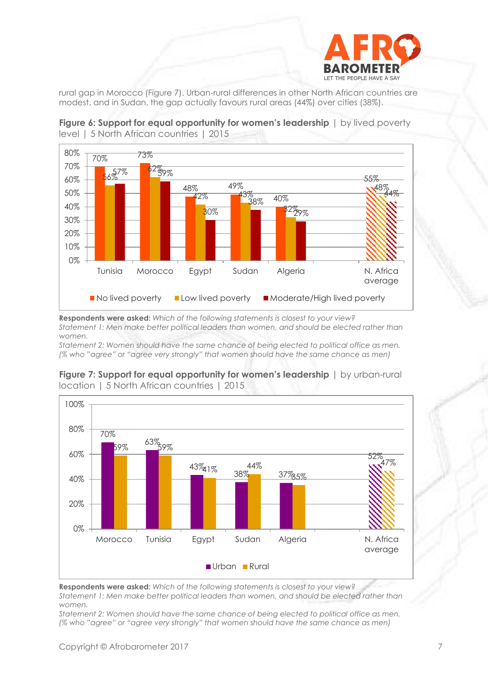

rural gap in Morocco (Figure 7). Urban-rural differences in other North African countries are modest, and in Sudan, the gap actually favours rural areas (44%) over cities (38%).



**Figure 6: Support for equal opportunity for women's leadership** | by lived poverty level | 5 North African countries | 2015

**Respondents were asked:** *Which of the following statements is closest to your view? Statement 1: Men make better political leaders than women, and should be elected rather than women.* 

*Statement 2: Women should have the same chance of being elected to political office as men. (% who "agree" or "agree very strongly" that women should have the same chance as men)*



#### **Figure 7: Support for equal opportunity for women's leadership** | by urban-rural location | 5 North African countries | 2015

**Respondents were asked:** *Which of the following statements is closest to your view? Statement 1: Men make better political leaders than women, and should be elected rather than women.* 

*Statement 2: Women should have the same chance of being elected to political office as men. (% who "agree" or "agree very strongly" that women should have the same chance as men)*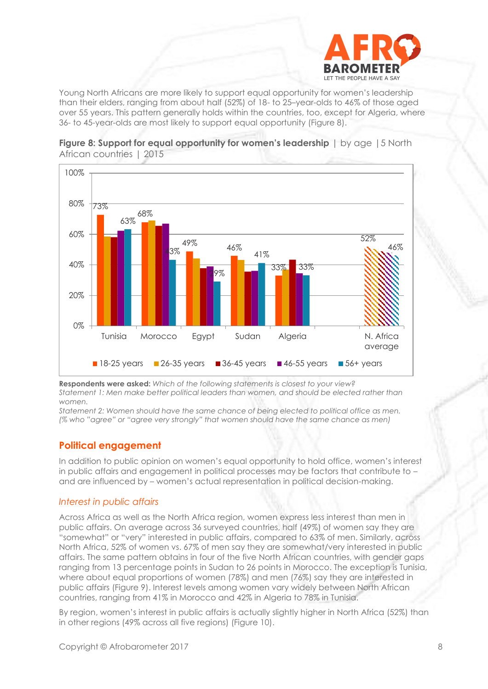

Young North Africans are more likely to support equal opportunity for women's leadership than their elders, ranging from about half (52%) of 18- to 25–year-olds to 46% of those aged over 55 years. This pattern generally holds within the countries, too, except for Algeria, where 36- to 45-year-olds are most likely to support equal opportunity (Figure 8).





**Respondents were asked:** *Which of the following statements is closest to your view? Statement 1: Men make better political leaders than women, and should be elected rather than women.* 

*Statement 2: Women should have the same chance of being elected to political office as men. (% who "agree" or "agree very strongly" that women should have the same chance as men)*

## **Political engagement**

In addition to public opinion on women's equal opportunity to hold office, women's interest in public affairs and engagement in political processes may be factors that contribute to – and are influenced by – women's actual representation in political decision-making.

#### *Interest in public affairs*

Across Africa as well as the North Africa region, women express less interest than men in public affairs. On average across 36 surveyed countries, half (49%) of women say they are "somewhat" or "very" interested in public affairs, compared to 63% of men. Similarly, across North Africa, 52% of women vs. 67% of men say they are somewhat/very interested in public affairs. The same pattern obtains in four of the five North African countries, with gender gaps ranging from 13 percentage points in Sudan to 26 points in Morocco. The exception is Tunisia, where about equal proportions of women (78%) and men (76%) say they are interested in public affairs (Figure 9). Interest levels among women vary widely between North African countries, ranging from 41% in Morocco and 42% in Algeria to 78% in Tunisia.

By region, women's interest in public affairs is actually slightly higher in North Africa (52%) than in other regions (49% across all five regions) (Figure 10).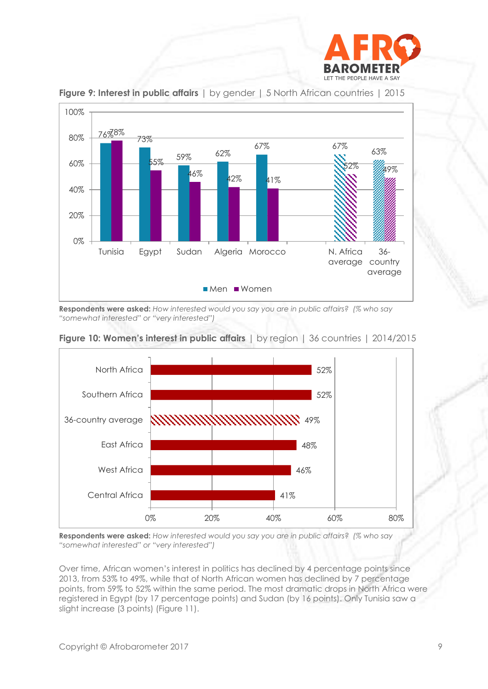



**Figure 9: Interest in public affairs** | by gender | 5 North African countries | 2015

**Respondents were asked:** *How interested would you say you are in public affairs? (% who say "somewhat interested" or "very interested")*



## **Figure 10: Women's interest in public affairs** | by region | 36 countries | 2014/2015

**Respondents were asked:** *How interested would you say you are in public affairs? (% who say "somewhat interested" or "very interested")*

Over time, African women's interest in politics has declined by 4 percentage points since 2013, from 53% to 49%, while that of North African women has declined by 7 percentage points, from 59% to 52% within the same period. The most dramatic drops in North Africa were registered in Egypt (by 17 percentage points) and Sudan (by 16 points). Only Tunisia saw a slight increase (3 points) (Figure 11).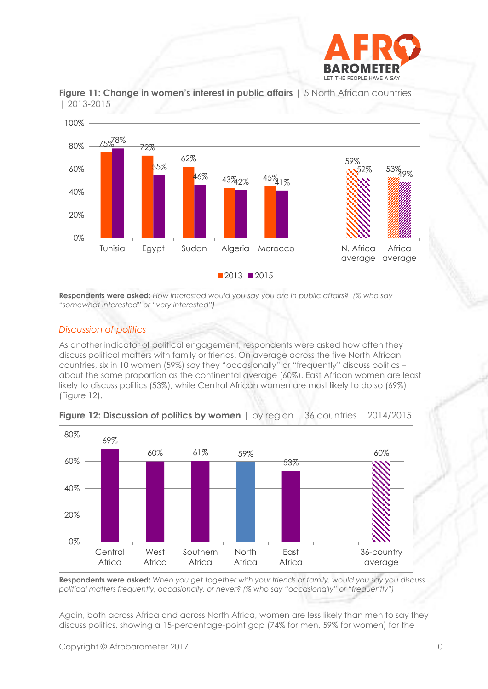



**Figure 11: Change in women's interest in public affairs** | 5 North African countries | 2013-2015

**Respondents were asked:** *How interested would you say you are in public affairs? (% who say "somewhat interested" or "very interested")*

#### *Discussion of politics*

As another indicator of political engagement, respondents were asked how often they discuss political matters with family or friends. On average across the five North African countries, six in 10 women (59%) say they "occasionally" or "frequently" discuss politics – about the same proportion as the continental average (60%). East African women are least likely to discuss politics (53%), while Central African women are most likely to do so (69%) (Figure 12).



**Figure 12: Discussion of politics by women** | by region | 36 countries | 2014/2015

**Respondents were asked:** *When you get together with your friends or family, would you say you discuss political matters frequently, occasionally, or never? (% who say "occasionally" or "frequently")*

Again, both across Africa and across North Africa, women are less likely than men to say they discuss politics, showing a 15-percentage-point gap (74% for men, 59% for women) for the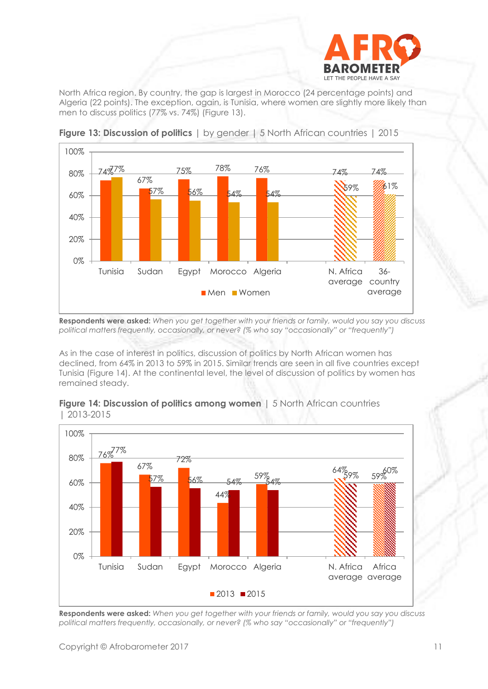

North Africa region. By country, the gap is largest in Morocco (24 percentage points) and Algeria (22 points). The exception, again, is Tunisia, where women are slightly more likely than men to discuss politics (77% vs. 74%) (Figure 13).



**Figure 13: Discussion of politics** | by gender | 5 North African countries | 2015

**Respondents were asked:** *When you get together with your friends or family, would you say you discuss political matters frequently, occasionally, or never? (% who say "occasionally" or "frequently")*

As in the case of interest in politics, discussion of politics by North African women has declined, from 64% in 2013 to 59% in 2015. Similar trends are seen in all five countries except Tunisia (Figure 14). At the continental level, the level of discussion of politics by women has remained steady.



#### **Figure 14: Discussion of politics among women** | 5 North African countries | 2013-2015

**Respondents were asked:** *When you get together with your friends or family, would you say you discuss political matters frequently, occasionally, or never? (% who say "occasionally" or "frequently")*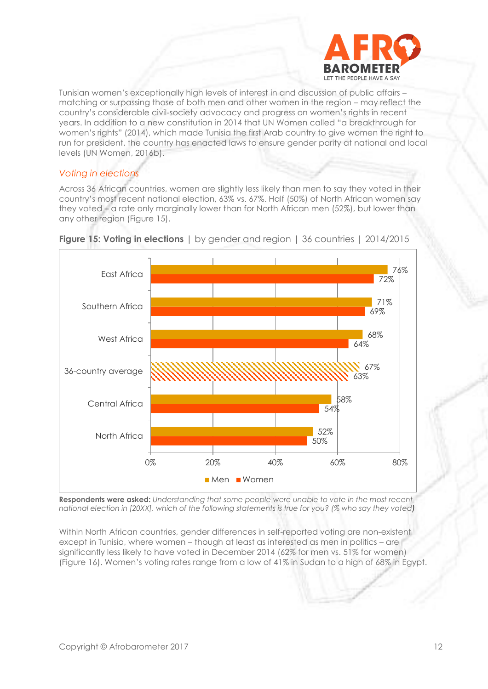

Tunisian women's exceptionally high levels of interest in and discussion of public affairs – matching or surpassing those of both men and other women in the region – may reflect the country's considerable civil-society advocacy and progress on women's rights in recent years. In addition to a new constitution in 2014 that UN Women called "a breakthrough for women's rights" (2014), which made Tunisia the first Arab country to give women the right to run for president, the country has enacted laws to ensure gender parity at national and local levels (UN Women, 2016b).

## *Voting in elections*

Across 36 African countries, women are slightly less likely than men to say they voted in their country's most recent national election, 63% vs. 67%. Half (50%) of North African women say they voted – a rate only marginally lower than for North African men (52%), but lower than any other region (Figure 15).





**Respondents were asked:** *Understanding that some people were unable to vote in the most recent national election in [20XX], which of the following statements is true for you? (% who say they voted)*

Within North African countries, gender differences in self-reported voting are non-existent except in Tunisia, where women – though at least as interested as men in politics – are significantly less likely to have voted in December 2014 (62% for men vs. 51% for women) (Figure 16). Women's voting rates range from a low of 41% in Sudan to a high of 68% in Egypt.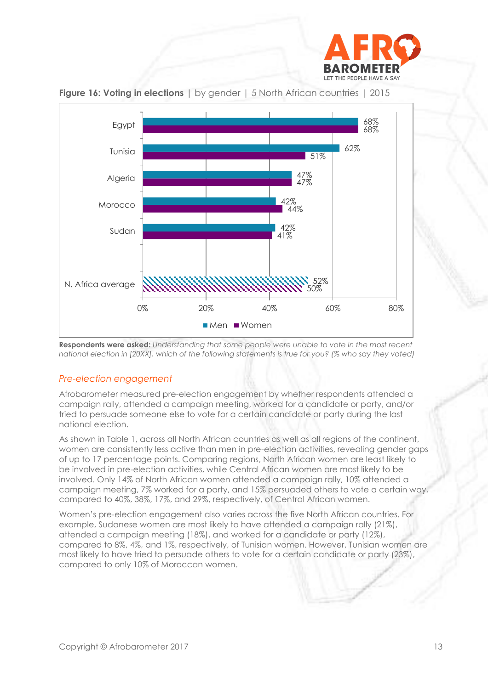



**Figure 16: Voting in elections** | by gender | 5 North African countries | 2015

#### *Pre-election engagement*

Afrobarometer measured pre-election engagement by whether respondents attended a campaign rally, attended a campaign meeting, worked for a candidate or party, and/or tried to persuade someone else to vote for a certain candidate or party during the last national election.

As shown in Table 1, across all North African countries as well as all regions of the continent, women are consistently less active than men in pre-election activities, revealing gender gaps of up to 17 percentage points. Comparing regions, North African women are least likely to be involved in pre-election activities, while Central African women are most likely to be involved. Only 14% of North African women attended a campaign rally, 10% attended a campaign meeting, 7% worked for a party, and 15% persuaded others to vote a certain way, compared to 40%, 38%, 17%, and 29%, respectively, of Central African women.

Women's pre-election engagement also varies across the five North African countries. For example, Sudanese women are most likely to have attended a campaign rally (21%), attended a campaign meeting (18%), and worked for a candidate or party (12%), compared to 8%, 4%, and 1%, respectively, of Tunisian women. However, Tunisian women are most likely to have tried to persuade others to vote for a certain candidate or party (23%), compared to only 10% of Moroccan women.

**Respondents were asked:** *Understanding that some people were unable to vote in the most recent national election in [20XX], which of the following statements is true for you? (% who say they voted)*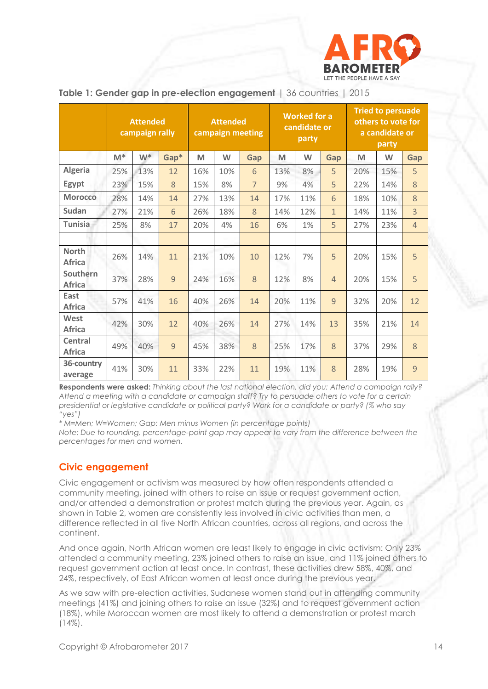

|                                 | <b>Attended</b><br>campaign rally |       | <b>Attended</b><br>campaign meeting |     |     | <b>Worked for a</b><br>candidate or<br>party |     |     | <b>Tried to persuade</b><br>others to vote for<br>a candidate or<br>party |     |     |                |
|---------------------------------|-----------------------------------|-------|-------------------------------------|-----|-----|----------------------------------------------|-----|-----|---------------------------------------------------------------------------|-----|-----|----------------|
|                                 | $M^*$                             | $W^*$ | Gap*                                | M   | W   | Gap                                          | M   | W   | Gap                                                                       | M   | W   | Gap            |
| <b>Algeria</b>                  | 25%                               | 13%   | 12                                  | 16% | 10% | 6                                            | 13% | 8%  | 5                                                                         | 20% | 15% | 5              |
| Egypt                           | 23%                               | 15%   | 8                                   | 15% | 8%  | $\overline{7}$                               | 9%  | 4%  | 5                                                                         | 22% | 14% | 8              |
| <b>Morocco</b>                  | 28%                               | 14%   | 14                                  | 27% | 13% | 14                                           | 17% | 11% | 6                                                                         | 18% | 10% | 8              |
| Sudan                           | 27%                               | 21%   | 6                                   | 26% | 18% | 8                                            | 14% | 12% | $\mathbf{1}$                                                              | 14% | 11% | 3              |
| <b>Tunisia</b>                  | 25%                               | 8%    | 17                                  | 20% | 4%  | 16                                           | 6%  | 1%  | 5                                                                         | 27% | 23% | $\overline{4}$ |
|                                 |                                   |       |                                     |     |     |                                              |     |     |                                                                           |     |     |                |
| <b>North</b><br><b>Africa</b>   | 26%                               | 14%   | 11                                  | 21% | 10% | 10                                           | 12% | 7%  | 5                                                                         | 20% | 15% | 5              |
| Southern<br><b>Africa</b>       | 37%                               | 28%   | 9                                   | 24% | 16% | 8                                            | 12% | 8%  | $\overline{4}$                                                            | 20% | 15% | 5              |
| East<br>Africa                  | 57%                               | 41%   | 16                                  | 40% | 26% | 14                                           | 20% | 11% | 9                                                                         | 32% | 20% | 12             |
| West<br><b>Africa</b>           | 42%                               | 30%   | 12                                  | 40% | 26% | 14                                           | 27% | 14% | 13                                                                        | 35% | 21% | 14             |
| <b>Central</b><br><b>Africa</b> | 49%                               | 40%   | 9                                   | 45% | 38% | 8                                            | 25% | 17% | 8                                                                         | 37% | 29% | 8              |
| 36-country<br>average           | 41%                               | 30%   | 11                                  | 33% | 22% | 11                                           | 19% | 11% | 8                                                                         | 28% | 19% | 9              |

#### **Table 1: Gender gap in pre-election engagement** | 36 countries | 2015

**Respondents were asked:** *Thinking about the last national election, did you: Attend a campaign rally? Attend a meeting with a candidate or campaign staff? Try to persuade others to vote for a certain presidential or legislative candidate or political party? Work for a candidate or party? (% who say "yes")*

*\* M=Men; W=Women; Gap: Men minus Women (in percentage points)*

*Note: Due to rounding, percentage-point gap may appear to vary from the difference between the percentages for men and women.* 

## **Civic engagement**

Civic engagement or activism was measured by how often respondents attended a community meeting, joined with others to raise an issue or request government action, and/or attended a demonstration or protest match during the previous year. Again, as shown in Table 2, women are consistently less involved in civic activities than men, a difference reflected in all five North African countries, across all regions, and across the continent.

And once again, North African women are least likely to engage in civic activism: Only 23% attended a community meeting, 23% joined others to raise an issue, and 11% joined others to request government action at least once. In contrast, these activities drew 58%, 40%, and 24%, respectively, of East African women at least once during the previous year.

As we saw with pre-election activities, Sudanese women stand out in attending community meetings (41%) and joining others to raise an issue (32%) and to request government action (18%), while Moroccan women are most likely to attend a demonstration or protest march  $(14\%)$ .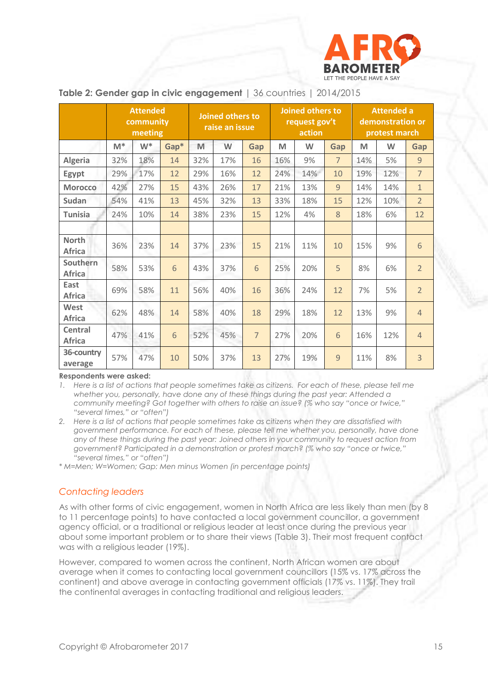

|                               | <b>Attended</b><br>community<br>meeting |       | Joined others to<br>raise an issue |     |     | Joined others to<br>request gov't<br>action |     |     | <b>Attended a</b><br>demonstration or<br>protest march |     |     |                |
|-------------------------------|-----------------------------------------|-------|------------------------------------|-----|-----|---------------------------------------------|-----|-----|--------------------------------------------------------|-----|-----|----------------|
|                               | $M^*$                                   | $W^*$ | Gap*                               | M   | W   | <b>Gap</b>                                  | M   | W   | Gap                                                    | M   | W   | Gap            |
| <b>Algeria</b>                | 32%                                     | 18%   | 14                                 | 32% | 17% | 16                                          | 16% | 9%  | $\overline{7}$                                         | 14% | 5%  | 9              |
| Egypt                         | 29%                                     | 17%   | 12                                 | 29% | 16% | 12                                          | 24% | 14% | 10                                                     | 19% | 12% | $\overline{7}$ |
| <b>Morocco</b>                | 42%                                     | 27%   | 15                                 | 43% | 26% | 17                                          | 21% | 13% | $\overline{9}$                                         | 14% | 14% | $\mathbf{1}$   |
| Sudan                         | 54%                                     | 41%   | 13                                 | 45% | 32% | 13                                          | 33% | 18% | 15                                                     | 12% | 10% | $\overline{2}$ |
| <b>Tunisia</b>                | 24%                                     | 10%   | 14                                 | 38% | 23% | 15                                          | 12% | 4%  | 8                                                      | 18% | 6%  | 12             |
|                               |                                         |       |                                    |     |     |                                             |     |     |                                                        |     |     |                |
| <b>North</b><br><b>Africa</b> | 36%                                     | 23%   | 14                                 | 37% | 23% | 15                                          | 21% | 11% | 10                                                     | 15% | 9%  | 6              |
| Southern<br><b>Africa</b>     | 58%                                     | 53%   | 6                                  | 43% | 37% | 6                                           | 25% | 20% | 5                                                      | 8%  | 6%  | $\overline{2}$ |
| East<br><b>Africa</b>         | 69%                                     | 58%   | 11                                 | 56% | 40% | 16                                          | 36% | 24% | 12                                                     | 7%  | 5%  | $\overline{2}$ |
| West<br><b>Africa</b>         | 62%                                     | 48%   | 14                                 | 58% | 40% | 18                                          | 29% | 18% | 12                                                     | 13% | 9%  | $\overline{4}$ |
| Central<br><b>Africa</b>      | 47%                                     | 41%   | 6                                  | 52% | 45% | $\overline{7}$                              | 27% | 20% | 6                                                      | 16% | 12% | $\overline{4}$ |
| 36-country<br>average         | 57%                                     | 47%   | 10                                 | 50% | 37% | 13                                          | 27% | 19% | 9                                                      | 11% | 8%  | 3              |

#### **Table 2: Gender gap in civic engagement** | 36 countries | 2014/2015

**Respondents were asked:**

*1. Here is a list of actions that people sometimes take as citizens. For each of these, please tell me whether you, personally, have done any of these things during the past year: Attended a community meeting? Got together with others to raise an issue? (% who say "once or twice," "several times," or "often")*

*2. Here is a list of actions that people sometimes take as citizens when they are dissatisfied with government performance. For each of these, please tell me whether you, personally, have done any of these things during the past year: Joined others in your community to request action from government? Participated in a demonstration or protest march? (% who say "once or twice," "several times," or "often")*

*\* M=Men; W=Women; Gap: Men minus Women (in percentage points)*

#### *Contacting leaders*

As with other forms of civic engagement, women in North Africa are less likely than men (by 8 to 11 percentage points) to have contacted a local government councillor, a government agency official, or a traditional or religious leader at least once during the previous year about some important problem or to share their views (Table 3). Their most frequent contact was with a religious leader (19%).

However, compared to women across the continent, North African women are about average when it comes to contacting local government councillors (15% vs. 17% across the continent) and above average in contacting government officials (17% vs. 11%). They trail the continental averages in contacting traditional and religious leaders.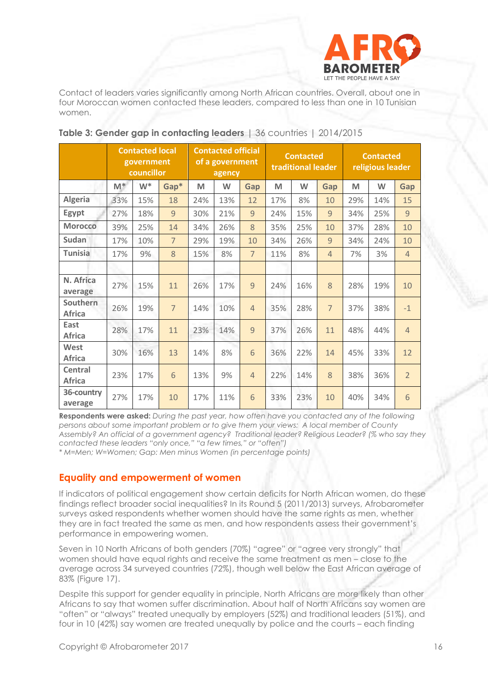

Contact of leaders varies significantly among North African countries. Overall, about one in four Moroccan women contacted these leaders, compared to less than one in 10 Tunisian women.

|                                 | <b>Contacted local</b><br>government<br>councillor |       |                | <b>Contacted official</b><br>of a government<br>agency |     |                | <b>Contacted</b><br>traditional leader |     |                | <b>Contacted</b><br>religious leader |     |                |
|---------------------------------|----------------------------------------------------|-------|----------------|--------------------------------------------------------|-----|----------------|----------------------------------------|-----|----------------|--------------------------------------|-----|----------------|
|                                 | $M^*$                                              | $W^*$ | Gap*           | M                                                      | W   | Gap            | M                                      | W   | Gap            | M                                    | W   | Gap            |
| Algeria                         | 33%                                                | 15%   | 18             | 24%                                                    | 13% | 12             | 17%                                    | 8%  | 10             | 29%                                  | 14% | 15             |
| Egypt                           | 27%                                                | 18%   | $\overline{9}$ | 30%                                                    | 21% | $\overline{9}$ | 24%                                    | 15% | $\overline{9}$ | 34%                                  | 25% | 9              |
| <b>Morocco</b>                  | 39%                                                | 25%   | 14             | 34%                                                    | 26% | 8              | 35%                                    | 25% | 10             | 37%                                  | 28% | 10             |
| <b>Sudan</b>                    | 17%                                                | 10%   | $\overline{7}$ | 29%                                                    | 19% | 10             | 34%                                    | 26% | $\overline{9}$ | 34%                                  | 24% | 10             |
| <b>Tunisia</b>                  | 17%                                                | 9%    | 8              | 15%                                                    | 8%  | $\overline{7}$ | 11%                                    | 8%  | $\overline{4}$ | 7%                                   | 3%  | $\overline{4}$ |
|                                 |                                                    |       |                |                                                        |     |                |                                        |     |                |                                      |     |                |
| N. Africa<br>average            | 27%                                                | 15%   | 11             | 26%                                                    | 17% | $\overline{9}$ | 24%                                    | 16% | 8              | 28%                                  | 19% | 10             |
| Southern<br><b>Africa</b>       | 26%                                                | 19%   | $\overline{7}$ | 14%                                                    | 10% | $\overline{4}$ | 35%                                    | 28% | $\overline{7}$ | 37%                                  | 38% | $-1$           |
| East<br><b>Africa</b>           | 28%                                                | 17%   | 11             | 23%                                                    | 14% | 9              | 37%                                    | 26% | 11             | 48%                                  | 44% | $\overline{4}$ |
| West<br><b>Africa</b>           | 30%                                                | 16%   | 13             | 14%                                                    | 8%  | 6              | 36%                                    | 22% | 14             | 45%                                  | 33% | 12             |
| <b>Central</b><br><b>Africa</b> | 23%                                                | 17%   | 6              | 13%                                                    | 9%  | $\overline{4}$ | 22%                                    | 14% | 8              | 38%                                  | 36% | $\overline{2}$ |
| 36-country<br>average           | 27%                                                | 17%   | 10             | 17%                                                    | 11% | 6              | 33%                                    | 23% | 10             | 40%                                  | 34% | 6              |

## **Table 3: Gender gap in contacting leaders** | 36 countries | 2014/2015

**Respondents were asked:** *During the past year, how often have you contacted any of the following persons about some important problem or to give them your views: A local member of County Assembly? An official of a government agency? Traditional leader? Religious Leader? (% who say they contacted these leaders "only once," "a few times," or "often")*

*\* M=Men; W=Women; Gap: Men minus Women (in percentage points)*

## **Equality and empowerment of women**

If indicators of political engagement show certain deficits for North African women, do these findings reflect broader social inequalities? In its Round 5 (2011/2013) surveys, Afrobarometer surveys asked respondents whether women should have the same rights as men, whether they are in fact treated the same as men, and how respondents assess their government's performance in empowering women.

Seven in 10 North Africans of both genders (70%) "garee" or "agree very strongly" that women should have equal rights and receive the same treatment as men – close to the average across 34 surveyed countries (72%), though well below the East African average of 83% (Figure 17).

Despite this support for gender equality in principle, North Africans are more likely than other Africans to say that women suffer discrimination. About half of North Africans say women are "often" or "always" treated unequally by employers (52%) and traditional leaders (51%), and four in 10 (42%) say women are treated unequally by police and the courts – each finding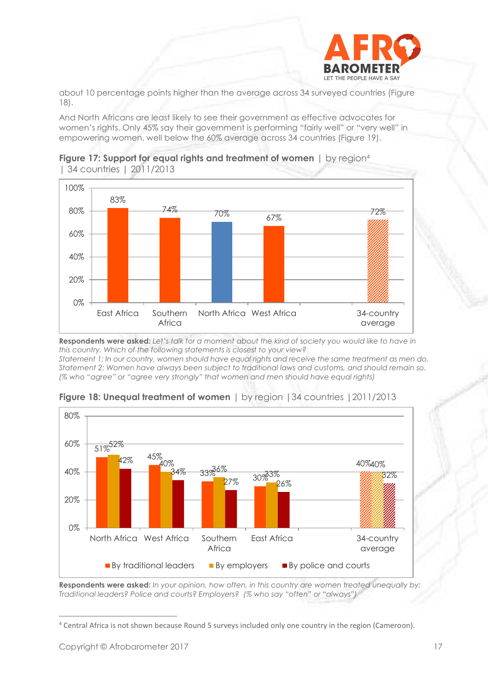

about 10 percentage points higher than the average across 34 surveyed countries (Figure 18).

And North Africans are least likely to see their government as effective advocates for women's rights. Only 45% say their government is performing "fairly well" or "very well" in empowering women, well below the 60% average across 34 countries (Figure 19).





**Respondents were asked:** *Let's talk for a moment about the kind of society you would like to have in this country. Which of the following statements is closest to your view? Statement 1: In our country, women should have equal rights and receive the same treatment as men do. Statement 2: Women have always been subject to traditional laws and customs, and should remain so. (% who "agree" or "agree very strongly" that women and men should have equal rights)*



**Figure 18: Unequal treatment of women** | by region |34 countries |2011/2013

**Respondents were asked:** *In your opinion, how often, in this country are women treated unequally by: Traditional leaders? Police and courts? Employers? (% who say "often" or "always")*

<sup>4</sup> Central Africa is not shown because Round 5 surveys included only one country in the region (Cameroon).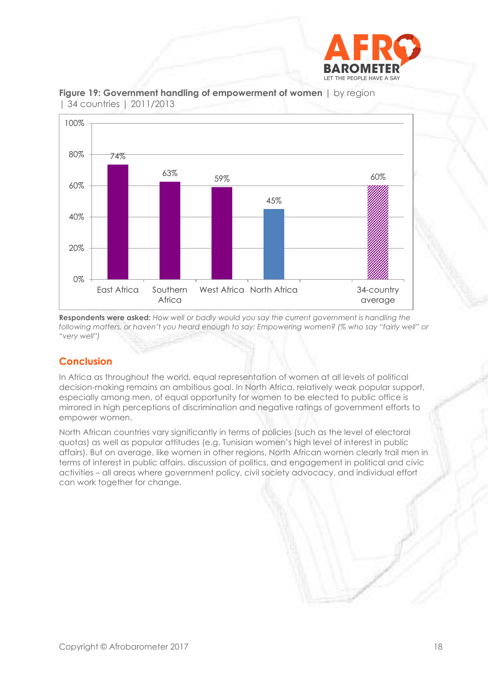



#### **Figure 19: Government handling of empowerment of women** | by region | 34 countries | 2011/2013

**Respondents were asked:** *How well or badly would you say the current government is handling the following matters, or haven't you heard enough to say: Empowering women? (% who say "fairly well" or "very well")*

# **Conclusion**

In Africa as throughout the world, equal representation of women at all levels of political decision-making remains an ambitious goal. In North Africa, relatively weak popular support, especially among men, of equal opportunity for women to be elected to public office is mirrored in high perceptions of discrimination and negative ratings of government efforts to empower women.

North African countries vary significantly in terms of policies (such as the level of electoral quotas) as well as popular attitudes (e.g. Tunisian women's high level of interest in public affairs). But on average, like women in other regions, North African women clearly trail men in terms of interest in public affairs, discussion of politics, and engagement in political and civic activities – all areas where government policy, civil society advocacy, and individual effort can work together for change.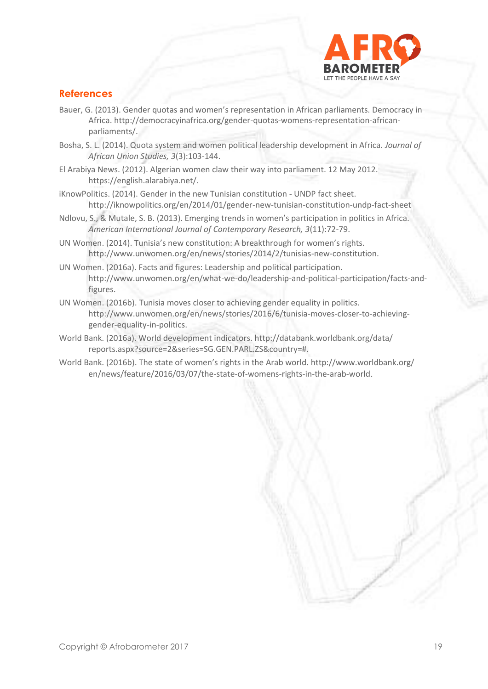

# **References**

- Bauer, G. (2013). Gender quotas and women's representation in African parliaments. Democracy in Africa. http://democracyinafrica.org/gender-quotas-womens-representation-africanparliaments/.
- Bosha, S. L. (2014). Quota system and women political leadership development in Africa. *Journal of African Union Studies, 3*(3):103-144.
- El Arabiya News. (2012). Algerian women claw their way into parliament. 12 May 2012. https://english.alarabiya.net/.
- iKnowPolitics. (2014). Gender in the new Tunisian constitution UNDP fact sheet. <http://iknowpolitics.org/en/2014/01/gender-new-tunisian-constitution-undp-fact-sheet>
- Ndlovu, S., & Mutale, S. B. (2013). Emerging trends in women's participation in politics in Africa. *American International Journal of Contemporary Research, 3*(11):72-79.
- UN Women. (2014). Tunisia's new constitution: A breakthrough for women's rights. [http://www.unwomen.org/en/news/stories/2014/2/tunisias-new-constitution.](http://www.unwomen.org/en/news/stories/2014/2/tunisias-new-constitution)
- UN Women. (2016a). Facts and figures: Leadership and political participation. [http://www.unwomen.org/en/what-we-do/leadership-and-political-participation/facts-and](http://www.unwomen.org/en/what-we-do/leadership-and-political-participation/facts-and-figures)[figures.](http://www.unwomen.org/en/what-we-do/leadership-and-political-participation/facts-and-figures)
- UN Women. (2016b). Tunisia moves closer to achieving gender equality in politics. [http://www.unwomen.org/en/news/stories/2016/6/tunisia-moves-closer-to-achieving](http://www.unwomen.org/en/news/stories/2016/6/tunisia-moves-closer-to-achieving-gender-equality-in-politics)[gender-equality-in-politics.](http://www.unwomen.org/en/news/stories/2016/6/tunisia-moves-closer-to-achieving-gender-equality-in-politics)
- World Bank. (2016a). World development indicators[. http://databank.worldbank.org/data/](http://databank.worldbank.org/data/%20reports.aspx?source=2&series=SG.GEN.PARL.ZS&country=)  [reports.aspx?source=2&series=SG.GEN.PARL.ZS&country=#.](http://databank.worldbank.org/data/%20reports.aspx?source=2&series=SG.GEN.PARL.ZS&country=)
- World Bank. (2016b). The state of women's rights in the Arab world. [http://www.worldbank.org/](http://www.worldbank.org/%20en/news/feature/2016/03/07/the-state-of-womens-rights-in-the-arab-world)  [en/news/feature/2016/03/07/the-state-of-womens-rights-in-the-arab-world](http://www.worldbank.org/%20en/news/feature/2016/03/07/the-state-of-womens-rights-in-the-arab-world).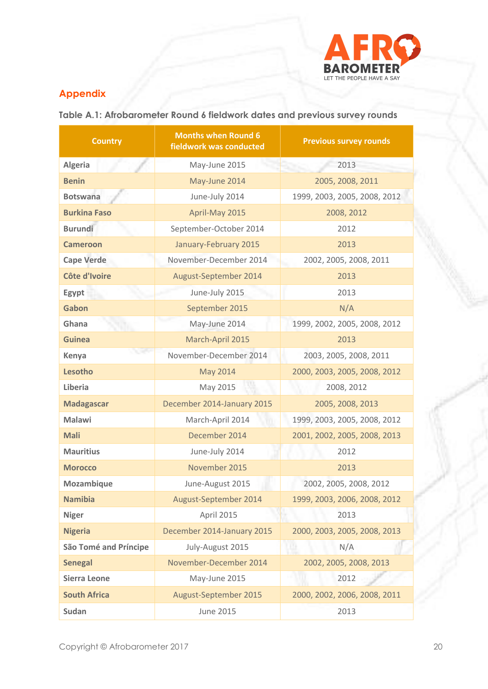

# **Appendix**

**Table A.1: Afrobarometer Round 6 fieldwork dates and previous survey rounds**

| <b>Country</b>               | <b>Months when Round 6</b><br>fieldwork was conducted | <b>Previous survey rounds</b> |  |  |  |  |  |
|------------------------------|-------------------------------------------------------|-------------------------------|--|--|--|--|--|
| <b>Algeria</b>               | May-June 2015                                         | 2013                          |  |  |  |  |  |
| <b>Benin</b>                 | May-June 2014                                         | 2005, 2008, 2011              |  |  |  |  |  |
| <b>Botswana</b>              | June-July 2014                                        | 1999, 2003, 2005, 2008, 2012  |  |  |  |  |  |
| <b>Burkina Faso</b>          | April-May 2015                                        | 2008, 2012                    |  |  |  |  |  |
| <b>Burundi</b>               | September-October 2014                                | 2012                          |  |  |  |  |  |
| <b>Cameroon</b>              | January-February 2015                                 | 2013                          |  |  |  |  |  |
| <b>Cape Verde</b>            | November-December 2014                                | 2002, 2005, 2008, 2011        |  |  |  |  |  |
| Côte d'Ivoire                | August-September 2014                                 | 2013                          |  |  |  |  |  |
| Egypt                        | June-July 2015                                        | 2013                          |  |  |  |  |  |
| Gabon                        | September 2015                                        | N/A                           |  |  |  |  |  |
| Ghana                        | May-June 2014                                         | 1999, 2002, 2005, 2008, 2012  |  |  |  |  |  |
| <b>Guinea</b>                | March-April 2015                                      | 2013                          |  |  |  |  |  |
| Kenya                        | November-December 2014                                | 2003, 2005, 2008, 2011        |  |  |  |  |  |
| Lesotho                      | <b>May 2014</b>                                       | 2000, 2003, 2005, 2008, 2012  |  |  |  |  |  |
| Liberia                      | May 2015                                              | 2008, 2012                    |  |  |  |  |  |
| <b>Madagascar</b>            | December 2014-January 2015                            | 2005, 2008, 2013              |  |  |  |  |  |
| <b>Malawi</b>                | March-April 2014                                      | 1999, 2003, 2005, 2008, 2012  |  |  |  |  |  |
| <b>Mali</b>                  | December 2014                                         | 2001, 2002, 2005, 2008, 2013  |  |  |  |  |  |
| <b>Mauritius</b>             | June-July 2014                                        | 2012                          |  |  |  |  |  |
| <b>Morocco</b>               | November 2015                                         | 2013                          |  |  |  |  |  |
| Mozambique                   | June-August 2015                                      | 2002, 2005, 2008, 2012        |  |  |  |  |  |
| <b>Namibia</b>               | August-September 2014                                 | 1999, 2003, 2006, 2008, 2012  |  |  |  |  |  |
| <b>Niger</b>                 | April 2015                                            | 2013                          |  |  |  |  |  |
| <b>Nigeria</b>               | December 2014-January 2015                            | 2000, 2003, 2005, 2008, 2013  |  |  |  |  |  |
| <b>São Tomé and Príncipe</b> | July-August 2015                                      | N/A                           |  |  |  |  |  |
| <b>Senegal</b>               | November-December 2014                                | 2002, 2005, 2008, 2013        |  |  |  |  |  |
| <b>Sierra Leone</b>          | May-June 2015                                         | 2012                          |  |  |  |  |  |
| <b>South Africa</b>          | August-September 2015                                 | 2000, 2002, 2006, 2008, 2011  |  |  |  |  |  |
| Sudan                        | June 2015                                             | 2013                          |  |  |  |  |  |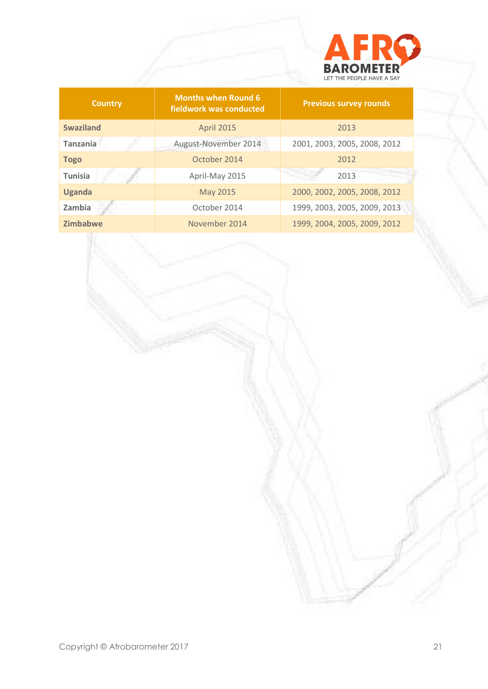

| <b>Country</b>   | <b>Months when Round 6</b><br>fieldwork was conducted | <b>Previous survey rounds</b> |  |  |  |  |
|------------------|-------------------------------------------------------|-------------------------------|--|--|--|--|
| <b>Swaziland</b> | <b>April 2015</b>                                     | 2013                          |  |  |  |  |
| <b>Tanzania</b>  | August-November 2014                                  | 2001, 2003, 2005, 2008, 2012  |  |  |  |  |
| <b>Togo</b>      | October 2014                                          | 2012                          |  |  |  |  |
| <b>Tunisia</b>   | April-May 2015                                        | 2013                          |  |  |  |  |
| <b>Uganda</b>    | May 2015                                              | 2000, 2002, 2005, 2008, 2012  |  |  |  |  |
| Zambia           | October 2014                                          | 1999, 2003, 2005, 2009, 2013  |  |  |  |  |
| <b>Zimbabwe</b>  | November 2014                                         | 1999, 2004, 2005, 2009, 2012  |  |  |  |  |